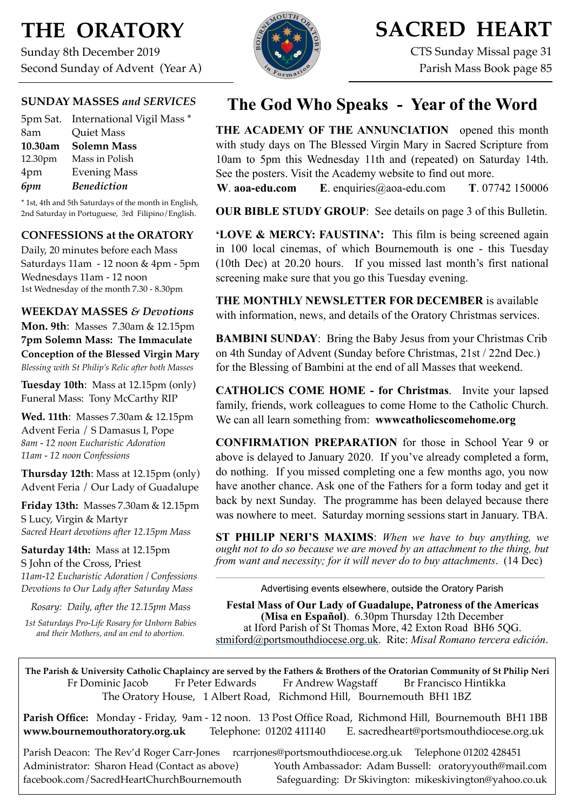# **THE ORATORY**

Sunday 8th December 2019 Second Sunday of Advent (Year A)

### **SUNDAY MASSES** *and SERVICES*

|         | 5pm Sat. International Vigil Mass * |
|---------|-------------------------------------|
| 8am     | <b>Quiet Mass</b>                   |
| 10.30am | <b>Solemn Mass</b>                  |
| 12.30pm | Mass in Polish                      |
| 4pm     | <b>Evening Mass</b>                 |
| 6pm     | <b>Benediction</b>                  |

\* 1st, 4th and 5th Saturdays of the month in English, 2nd Saturday in Portuguese, 3rd Filipino/English.

### **CONFESSIONS at the ORATORY**

Daily, 20 minutes before each Mass Saturdays 11am - 12 noon & 4pm - 5pm Wednesdays 11am - 12 noon 1st Wednesday of the month 7.30 - 8.30pm

**WEEKDAY MASSES** *& Devotions* **Mon. 9th**: Masses 7.30am & 12.15pm **7pm Solemn Mass: The Immaculate Conception of the Blessed Virgin Mary** *Blessing with St Philip's Relic after both Masses*

**Tuesday 10th**: Mass at 12.15pm (only) Funeral Mass: Tony McCarthy RIP

**Wed. 11th**: Masses 7.30am & 12.15pm Advent Feria / S Damasus I, Pope *8am - 12 noon Eucharistic Adoration 11am - 12 noon Confessions*

**Thursday 12th**: Mass at 12.15pm (only) Advent Feria / Our Lady of Guadalupe

**Friday 13th:** Masses 7.30am & 12.15pm S Lucy, Virgin & Martyr *Sacred Heart devotions after 12.15pm Mass*

**Saturday 14th:** Mass at 12.15pm S John of the Cross, Priest *11am-12 Eucharistic Adoration / Confessions Devotions to Our Lady after Saturday Mass*

*Rosary: Daily, after the 12.15pm Mass*

*1st Saturdays Pro-Life Rosary for Unborn Babies and their Mothers, and an end to abortion.*



## **SACRED HEART**

CTS Sunday Missal page 31 Parish Mass Book page 85

## **The God Who Speaks - Year of the Word**

**THE ACADEMY OF THE ANNUNCIATION** opened this month with study days on The Blessed Virgin Mary in Sacred Scripture from 10am to 5pm this Wednesday 11th and (repeated) on Saturday 14th. See the posters. Visit the Academy website to find out more.

**W**. **[aoa-edu.com](http://aoa-edu.com) E**. [enquiries@aoa-edu.com](mailto:enquiries@aoa-edu.com) **T**. 07742 150006

**OUR BIBLE STUDY GROUP**: See details on page 3 of this Bulletin.

**'LOVE & MERCY: FAUSTINA':** This film is being screened again in 100 local cinemas, of which Bournemouth is one - this Tuesday (10th Dec) at 20.20 hours. If you missed last month's first national screening make sure that you go this Tuesday evening.

**THE MONTHLY NEWSLETTER FOR DECEMBER** is available with information, news, and details of the Oratory Christmas services.

**BAMBINI SUNDAY**: Bring the Baby Jesus from your Christmas Crib on 4th Sunday of Advent (Sunday before Christmas, 21st / 22nd Dec.) for the Blessing of Bambini at the end of all Masses that weekend.

**CATHOLICS COME HOME - for Christmas**. Invite your lapsed family, friends, work colleagues to come Home to the Catholic Church. We can all learn something from: **wwwcatholicscomehome.org** 

**CONFIRMATION PREPARATION** for those in School Year 9 or above is delayed to January 2020. If you've already completed a form, do nothing. If you missed completing one a few months ago, you now have another chance. Ask one of the Fathers for a form today and get it back by next Sunday. The programme has been delayed because there was nowhere to meet. Saturday morning sessions start in January. TBA.

**ST PHILIP NERI'S MAXIMS**: *When we have to buy anything, we ought not to do so because we are moved by an attachment to the thing, but from want and necessity; for it will never do to buy attachments*. (14 Dec)

Advertising events elsewhere, outside the Oratory Parish

**Festal Mass of Our Lady of Guadalupe, Patroness of the Americas (Misa en Español)**. 6.30pm Thursday 12th December at Iford Parish of St Thomas More, 42 Exton Road BH6 5QG. [stmiford@portsmouthdiocese.org.uk.](mailto:stmiford@portsmouthdiocese.org.uk) Rite: *Misal Romano tercera edición*.

**The Parish & University Catholic Chaplaincy are served by the Fathers & Brothers of the Oratorian Community of St Philip Neri**  Fr Dominic Jacob Fr Peter Edwards Fr Andrew Wagstaff Br Francisco Hintikka The Oratory House, 1 Albert Road, Richmond Hill, Bournemouth BH1 1BZ

**Parish Office:** Monday - Friday, 9am - 12 noon. 13 Post Office Road, Richmond Hill, Bournemouth BH1 1BB **[www.bournemouthoratory.org.uk](http://www.bournemoithoratory.org.uk)** Telephone: 01202 411140 E. [sacredheart@portsmouthdiocese.org.uk](mailto:sacredheart@portsmouthdiocese.org.uk)

Parish Deacon: The Rev'd Roger Carr-Jones [rcarrjones@portsmouthdiocese.org.uk](mailto:rcarrjones@portsmouthdiocese.org.uk) Telephone 01202 428451 Administrator: Sharon Head (Contact as above) Youth Ambassador: Adam Bussell: [oratoryyouth@mail.com](http://oratoryyouth.mail.com) [facebook.com/SacredHeartChurchBournemouth](http://facebook.com/SaccredHeartChurchBournemouth) Safeguarding: Dr Skivington: mikeskivington@yahoo.co.uk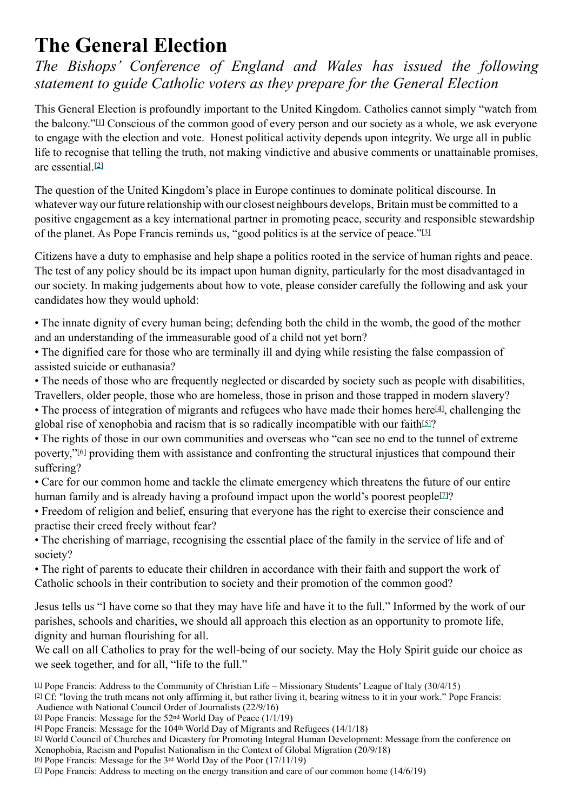# **The General Election**

## *The Bishops' Conference of England and Wales has issued the following statement to guide Catholic voters as they prepare for the General Election*

This General Election is profoundly important to the United Kingdom. Catholics cannot simply "watch from the balcony."[1] Conscious of the common good of every person and our society as a whole, we ask everyone to engage with the election and vote. Honest political activity depends upon integrity. We urge all in public life to recognise that telling the truth, not making vindictive and abusive comments or unattainable promises, are essential.[2]

The question of the United Kingdom's place in Europe continues to dominate political discourse. In whatever way our future relationship with our closest neighbours develops, Britain must be committed to a positive engagement as a key international partner in promoting peace, security and responsible stewardship of the planet. As Pope Francis reminds us, "good politics is at the service of peace."[3]

Citizens have a duty to emphasise and help shape a politics rooted in the service of human rights and peace. The test of any policy should be its impact upon human dignity, particularly for the most disadvantaged in our society. In making judgements about how to vote, please consider carefully the following and ask your candidates how they would uphold:

• The innate dignity of every human being; defending both the child in the womb, the good of the mother and an understanding of the immeasurable good of a child not yet born?

• The dignified care for those who are terminally ill and dying while resisting the false compassion of assisted suicide or euthanasia?

• The needs of those who are frequently neglected or discarded by society such as people with disabilities, Travellers, older people, those who are homeless, those in prison and those trapped in modern slavery?

• The process of integration of migrants and refugees who have made their homes here<sup>[4]</sup>, challenging the global rise of xenophobia and racism that is so radically incompatible with our faith[5]?

• The rights of those in our own communities and overseas who "can see no end to the tunnel of extreme poverty,"[6] providing them with assistance and confronting the structural injustices that compound their suffering?

• Care for our common home and tackle the climate emergency which threatens the future of our entire human family and is already having a profound impact upon the world's poorest people<sup>[7]?</sup>

• Freedom of religion and belief, ensuring that everyone has the right to exercise their conscience and practise their creed freely without fear?

• The cherishing of marriage, recognising the essential place of the family in the service of life and of society?

• The right of parents to educate their children in accordance with their faith and support the work of Catholic schools in their contribution to society and their promotion of the common good?

Jesus tells us "I have come so that they may have life and have it to the full." Informed by the work of our parishes, schools and charities, we should all approach this election as an opportunity to promote life, dignity and human flourishing for all.

We call on all Catholics to pray for the well-being of our society. May the Holy Spirit guide our choice as we seek together, and for all, "life to the full."

[1] Pope Francis: Address to the Community of Christian Life – Missionary Students' League of Italy (30/4/15)

[2] Cf: "loving the truth means not only affirming it, but rather living it, bearing witness to it in your work." Pope Francis: Audience with National Council Order of Journalists (22/9/16)

- [3] Pope Francis: Message for the 52nd World Day of Peace (1/1/19)
- $[4]$  Pope Francis: Message for the 104<sup>th</sup> World Day of Migrants and Refugees (14/1/18)

[5] World Council of Churches and Dicastery for Promoting Integral Human Development: Message from the conference on Xenophobia, Racism and Populist Nationalism in the Context of Global Migration (20/9/18)

- [6] Pope Francis: Message for the 3rd World Day of the Poor (17/11/19)
- $\lbrack \mathfrak{A} \rbrack$  Pope Francis: Address to meeting on the energy transition and care of our common home (14/6/19)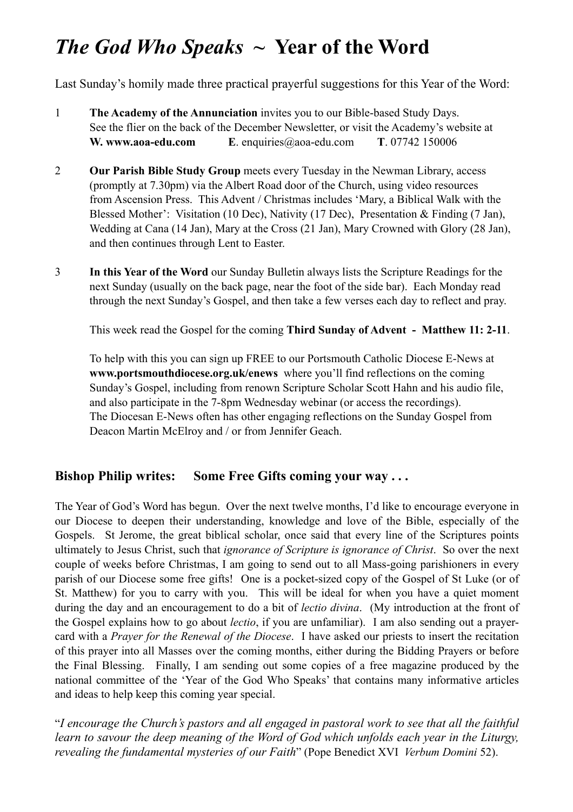# *The God Who Speaks* **~ Year of the Word**

Last Sunday's homily made three practical prayerful suggestions for this Year of the Word:

- 1 **The Academy of the Annunciation** invites you to our Bible-based Study Days. See the flier on the back of the December Newsletter, or visit the Academy's website at **W. [www.aoa-edu.com](http://www.aoa-edu.com) E**. [enquiries@aoa-edu.com](mailto:enquiries@aoa-edu.com) **T**. 07742 150006
- 2 **Our Parish Bible Study Group** meets every Tuesday in the Newman Library, access (promptly at 7.30pm) via the Albert Road door of the Church, using video resources from Ascension Press. This Advent / Christmas includes 'Mary, a Biblical Walk with the Blessed Mother': Visitation (10 Dec), Nativity (17 Dec), Presentation & Finding (7 Jan), Wedding at Cana (14 Jan), Mary at the Cross (21 Jan), Mary Crowned with Glory (28 Jan), and then continues through Lent to Easter.
- 3 **In this Year of the Word** our Sunday Bulletin always lists the Scripture Readings for the next Sunday (usually on the back page, near the foot of the side bar). Each Monday read through the next Sunday's Gospel, and then take a few verses each day to reflect and pray.

This week read the Gospel for the coming **Third Sunday of Advent - Matthew 11: 2-11**.

 To help with this you can sign up FREE to our Portsmouth Catholic Diocese E-News at **[www.portsmouthdiocese.org.uk/enews](http://www.portsmouthdiocese.org.uk/enews)** where you'll find reflections on the coming Sunday's Gospel, including from renown Scripture Scholar Scott Hahn and his audio file, and also participate in the 7-8pm Wednesday webinar (or access the recordings). The Diocesan E-News often has other engaging reflections on the Sunday Gospel from Deacon Martin McElroy and / or from Jennifer Geach.

## **Bishop Philip writes: Some Free Gifts coming your way . . .**

The Year of God's Word has begun. Over the next twelve months, I'd like to encourage everyone in our Diocese to deepen their understanding, knowledge and love of the Bible, especially of the Gospels. St Jerome, the great biblical scholar, once said that every line of the Scriptures points ultimately to Jesus Christ, such that *ignorance of Scripture is ignorance of Christ*. So over the next couple of weeks before Christmas, I am going to send out to all Mass-going parishioners in every parish of our Diocese some free gifts! One is a pocket-sized copy of the Gospel of St Luke (or of St. Matthew) for you to carry with you. This will be ideal for when you have a quiet moment during the day and an encouragement to do a bit of *lectio divina*. (My introduction at the front of the Gospel explains how to go about *lectio*, if you are unfamiliar). I am also sending out a prayercard with a *Prayer for the Renewal of the Diocese*. I have asked our priests to insert the recitation of this prayer into all Masses over the coming months, either during the Bidding Prayers or before the Final Blessing. Finally, I am sending out some copies of a free magazine produced by the national committee of the 'Year of the God Who Speaks' that contains many informative articles and ideas to help keep this coming year special.

"*I encourage the Church's pastors and all engaged in pastoral work to see that all the faithful learn to savour the deep meaning of the Word of God which unfolds each year in the Liturgy, revealing the fundamental mysteries of our Faith*" (Pope Benedict XVI *Verbum Domini* 52).